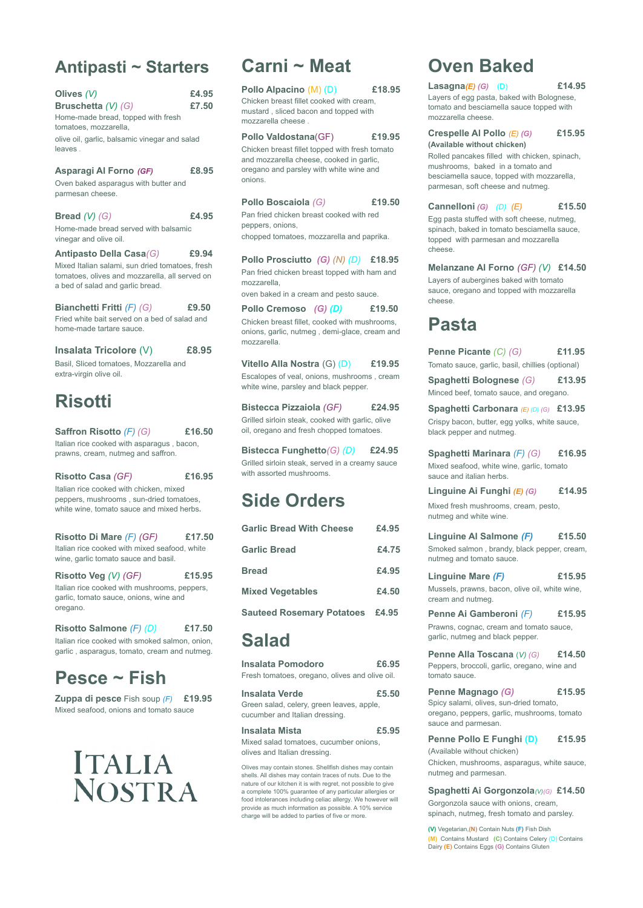### **Antipasti ~ Starters**

| Olives $(V)$<br>Bruschetta (V) (G)<br>Home-made bread, topped with fresh<br>tomatoes, mozzarella,<br>olive oil, garlic, balsamic vinegar and salad<br>leaves.    | £4.95<br>£7.50 |
|------------------------------------------------------------------------------------------------------------------------------------------------------------------|----------------|
| Asparagi Al Forno (GF)<br>Oven baked asparagus with butter and<br>parmesan cheese.                                                                               | £8,95          |
| Bread $(V)$ $(G)$<br>Home-made bread served with balsamic<br>vinegar and olive oil.                                                                              | £4.95          |
| Antipasto Della Casa(G)<br>Mixed Italian salami, sun dried tomatoes, fresh<br>tomatoes, olives and mozzarella, all served on<br>a bed of salad and garlic bread. | £9.94          |
| <b>Bianchetti Fritti (F) (G)</b><br>Fried white bait served on a bed of salad and<br>home-made fartare sauce.                                                    | £9.50          |

**Insalata Tricolore** (V) **£8.95** Basil, Sliced tomatoes, Mozzarella and extra-virgin olive oil.

## **Risotti**

**Saffron Risotto** *(F) (G)* **£16.50** Italian rice cooked with asparagus , bacon, prawns, cream, nutmeg and saffron.

**Risotto Casa** *(GF)* **£16.95** Italian rice cooked with chicken, mixed peppers, mushrooms , sun-dried tomatoes, white wine, tomato sauce and mixed herbs**.**

**Risotto Di Mare** *(F) (GF)* **£17.50** Italian rice cooked with mixed seafood, white wine, garlic tomato sauce and basil.

**Risotto Veg** *(V) (GF)* **£15.95** Italian rice cooked with mushrooms, peppers, garlic, tomato sauce, onions, wine and oregano.

**Risotto Salmone** *(F) (D)* **£17.50** Italian rice cooked with smoked salmon, onion, garlic , asparagus, tomato, cream and nutmeg.

### **Pesce ~ Fish**

**Zuppa di pesce** Fish soup *(F)* **£19.95** Mixed seafood, onions and tomato sauce

# **ITALIA NOSTRA**

### **Carni ~ Meat**

**Pollo Alpacino** (M) (D) **£18.95** Chicken breast fillet cooked with cream, mustard , sliced bacon and topped with mozzarella cheese .

**Pollo Valdostana**(GF) **£19.95** Chicken breast fillet topped with fresh tomato and mozzarella cheese, cooked in garlic, oregano and parsley with white wine and onions.

**Pollo Boscaiola** *(G)* **£19.50** Pan fried chicken breast cooked with red peppers, onions, chopped tomatoes, mozzarella and paprika.

**Pollo Prosciutto** *(G) (N) (D)* **£18.95** Pan fried chicken breast topped with ham and mozzarella,

oven baked in a cream and pesto sauce.

**Pollo Cremoso** *(G) (D)* **£19.50** Chicken breast fillet, cooked with mushrooms, onions, garlic, nutmeg , demi-glace, cream and mozzarella.

**Vitello Alla Nostra** (G) (D) **£19.95** Escalopes of veal, onions, mushrooms , cream white wine, parsley and black pepper.

**Bistecca Pizzaiola** *(GF)* **£24.95** Grilled sirloin steak, cooked with garlic, olive oil, oregano and fresh chopped tomatoes.

**Bistecca Funghetto***(G) (D)* **£24.95** Grilled sirloin steak, served in a creamy sauce with assorted mushrooms.

## **Side Orders**

| <b>Garlic Bread With Cheese</b>        | £4.95 |
|----------------------------------------|-------|
| <b>Garlic Bread</b>                    | £4.75 |
| <b>Bread</b>                           | £4.95 |
| <b>Mixed Vegetables</b>                | £4.50 |
| <b>Sauteed Rosemary Potatoes £4.95</b> |       |

### **Salad**

**Insalata Pomodoro £6.95** Fresh tomatoes, oregano, olives and olive oil.

#### **Insalata Verde £5.50**

Green salad, celery, green leaves, apple, cucumber and Italian dressing.

#### **Insalata Mista £5.95**

Mixed salad tomatoes, cucumber onions, olives and Italian dressing.

Olives may contain stones. Shellfish dishes may contain shells. All dishes may contain traces of nuts. Due to the nature of our kitchen it is with regret, not possible to give a complete 100% guarantee of any particular allergies or food intolerances including celiac allergy. We however will provide as much information as possible. A 10% service charge will be added to parties of five or more.

## **Oven Baked**

**Lasagna***(E) (G)* (D) **£14.95** Layers of egg pasta, baked with Bolognese, tomato and besciamella sauce topped with mozzarella cheese.

**Crespelle Al Pollo** *(E) (G)* **£15.95 (Available without chicken)**

Rolled pancakes filled with chicken, spinach, mushrooms, baked in a tomato and besciamella sauce, topped with mozzarella, parmesan, soft cheese and nutmeg.

### **Cannelloni** *(G) (D) (E)* **£15.50**

Egg pasta stuffed with soft cheese, nutmeg, spinach, baked in tomato besciamella sauce, topped with parmesan and mozzarella cheese.

**Melanzane Al Forno** *(GF) (V)* **£14.50**

Layers of aubergines baked with tomato sauce, oregano and topped with mozzarella cheese.

## **Pasta**

**Penne Picante** *(C) (G)* **£11.95** Tomato sauce, garlic, basil, chillies (optional)

**Spaghetti Bolognese** *(G)* **£13.95** Minced beef, tomato sauce, and oregano.

**Spaghetti Carbonara** *(E) (D) (G)* **£13.95** Crispy bacon, butter, egg yolks, white sauce, black pepper and nutmeg.

**Spaghetti Marinara** *(F) (G)* **£16.95**

Mixed seafood, white wine, garlic, tomato sauce and italian herbs.

**Linguine Ai Funghi** *(E) (G)* **£14.95**

Mixed fresh mushrooms, cream, pesto, nutmeg and white wine.

**Linguine Al Salmone** *(F)* **£15.50** Smoked salmon , brandy, black pepper, cream, nutmeg and tomato sauce.

### **Linguine Mare** *(F)* **£15.95**

Mussels, prawns, bacon, olive oil, white wine, cream and nutmeg.

**Penne Ai Gamberoni** *(F)* **£15.95** Prawns, cognac, cream and tomato sauce, garlic, nutmeg and black pepper.

#### **Penne Alla Toscana** (*V) (G)* **£14.50** Peppers, broccoli, garlic, oregano, wine and

tomato sauce.

**Penne Magnago** *(G)* **£15.95**

Spicy salami, olives, sun-dried tomato, oregano, peppers, garlic, mushrooms, tomato sauce and parmesan.

#### **Penne Pollo E Funghi (D) £15.95**

(Available without chicken)

Chicken, mushrooms, asparagus, white sauce, nutmeg and parmesan.

#### **Spaghetti Ai Gorgonzola***(V)(G)* **£14.50**

Gorgonzola sauce with onions, cream, spinach, nutmeg, fresh tomato and parsley.

**(V)** Vegetarian,**(N)** Contain Nuts **(F)** Fish Dish **(M)** Contains Mustard **(C)** Contains Celery (D) Contains Dairy **(E)** Contains Eggs **(G)** Contains Gluten